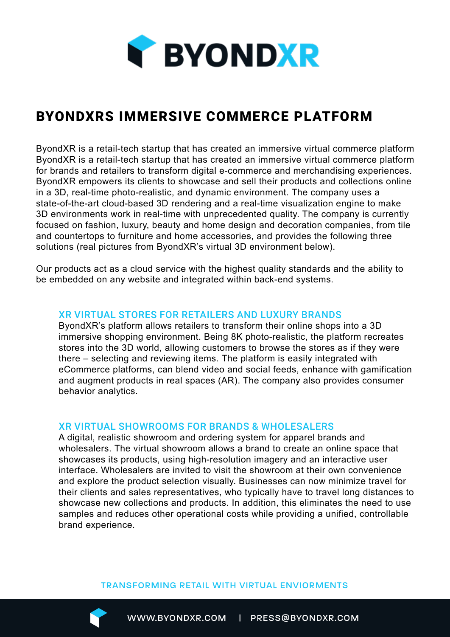

# BYONDXRS IMMERSIVE COMMERCE PLATFORM

ByondXR is a retail-tech startup that has created an immersive virtual commerce platform ByondXR is a retail-tech startup that has created an immersive virtual commerce platform for brands and retailers to transform digital e-commerce and merchandising experiences. ByondXR empowers its clients to showcase and sell their products and collections online in a 3D, real-time photo-realistic, and dynamic environment. The company uses a state-of-the-art cloud-based 3D rendering and a real-time visualization engine to make 3D environments work in real-time with unprecedented quality. The company is currently focused on fashion, luxury, beauty and home design and decoration companies, from tile and countertops to furniture and home accessories, and provides the following three solutions (real pictures from ByondXR's virtual 3D environment below).

Our products act as a cloud service with the highest quality standards and the ability to be embedded on any website and integrated within back-end systems.

## XR VIRTUAL STORES FOR RETAILERS AND LUXURY BRANDS

ByondXR's platform allows retailers to transform their online shops into a 3D immersive shopping environment. Being 8K photo-realistic, the platform recreates stores into the 3D world, allowing customers to browse the stores as if they were there – selecting and reviewing items. The platform is easily integrated with eCommerce platforms, can blend video and social feeds, enhance with gamification and augment products in real spaces (AR). The company also provides consumer behavior analytics.

### XR VIRTUAL SHOWROOMS FOR BRANDS & WHOLESALERS

A digital, realistic showroom and ordering system for apparel brands and wholesalers. The virtual showroom allows a brand to create an online space that showcases its products, using high-resolution imagery and an interactive user interface. Wholesalers are invited to visit the showroom at their own convenience and explore the product selection visually. Businesses can now minimize travel for their clients and sales representatives, who typically have to travel long distances to showcase new collections and products. In addition, this eliminates the need to use samples and reduces other operational costs while providing a unified, controllable brand experience.

#### TRANSFORMING RETAIL WITH VIRTUAL ENVIORMENTS